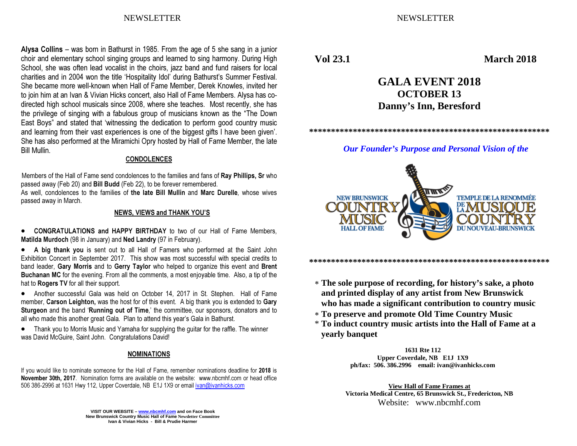NEWSLETTER NEWSLETTER

Alysa Collins – was born in Bathurst in 1985. From the age of 5 she sang in a junior choir and elementary school singing groups and learned to sing harmony. During High School, she was often lead vocalist in the choirs, jazz band and fund raisers for local charities and in 2004 won the title 'Hospitality Idol' during Bathurst's Summer Festival. She became more well-known when Hall of Fame Member, Derek Knowles, invited her to join him at an Ivan & Vivian Hicks concert, also Hall of Fame Members. Alysa has codirected high school musicals since 2008, where she teaches. Most recently, she has the privilege of singing with a fabulous group of musicians known as the "The Down East Boys" and stated that 'witnessing the dedication to perform good country music and learning from their vast experiences is one of the biggest gifts I have been given'. She has also performed at the Miramichi Opry hosted by Hall of Fame Member, the late Bill Mullin.

#### CONDOLENCES

Members of the Hall of Fame send condolences to the families and fans of Ray Phillips, Sr who passed away (Feb 20) and Bill Budd (Feb 22), to be forever remembered.

As well, condolences to the families of the late Bill Mullin and Marc Durelle, whose wives passed away in March.

#### NEWS, VIEWS and THANK YOU'S

 $\bullet$  CONGRATULATIONS and HAPPY BIRTHDAY to two of our Hall of Fame Members, Matilda Murdoch (98 in January) and Ned Landry (97 in February).

• A big thank you is sent out to all Hall of Famers who performed at the Saint John Exhibition Concert in September 2017. This show was most successful with special credits to band leader, Gary Morris and to Gerry Taylor who helped to organize this event and Brent Buchanan MC for the evening. From all the comments, a most enjoyable time. Also, a tip of the hat to Rogers TV for all their support.

• Another successful Gala was held on October 14, 2017 in St. Stephen. Hall of Fame member, Carson Leighton, was the host for of this event. A big thank you is extended to Gary Sturgeon and the band 'Running out of Time,' the committee, our sponsors, donators and to all who made this another great Gala. Plan to attend this year's Gala in Bathurst.

• Thank you to Morris Music and Yamaha for supplying the guitar for the raffle. The winner was David McGuire, Saint John. Congratulations David!

#### NOMINATIONS

If you would like to nominate someone for the Hall of Fame, remember nominations deadline for 2018 is November 30th, 2017. Nomination forms are available on the website: www.nbcmhf.com or head office 506 386-2996 at 1631 Hwy 112, Upper Coverdale, NB E1J 1X9 or email ivan@ivanhicks.com

**Vol 23.1 March 2018** 

## **GALA EVENT 2018 OCTOBER 13 Danny's Inn, Beresford**

**\*\*\*\*\*\*\*\*\*\*\*\*\*\*\*\*\*\*\*\*\*\*\*\*\*\*\*\*\*\*\*\*\*\*\*\*\*\*\*\*\*\*\*\*\*\*\*\*\*\*\*\*\*\*\*** 

## *Our Founder's Purpose and Personal Vision of the*



∗ **The sole purpose of recording, for history's sake, a photo and printed display of any artist from New Brunswick** 

**\*\*\*\*\*\*\*\*\*\*\*\*\*\*\*\*\*\*\*\*\*\*\*\*\*\*\*\*\*\*\*\*\*\*\*\*\*\*\*\*\*\*\*\*\*\*\*\*\*\*\*\*\*\*\*** 

- **who has made a significant contribution to country music**
- ∗ **To preserve and promote Old Time Country Music**
- \* **To induct country music artists into the Hall of Fame at a yearly banquet**

**1631 Rte 112 Upper Coverdale, NB E1J 1X9 ph/fax: 506. 386.2996 email: ivan@ivanhicks.com**

**View Hall of Fame Frames at Victoria Medical Centre, 65 Brunswick St., Fredericton, NB** Website: www.nbcmhf.com